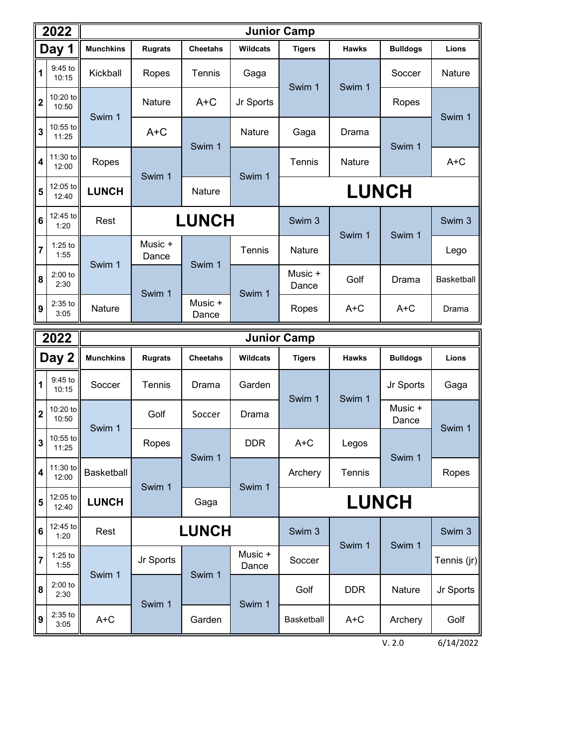| 2022                       |                   | <b>Junior Camp</b> |                     |                  |                 |                  |              |                  |                   |  |
|----------------------------|-------------------|--------------------|---------------------|------------------|-----------------|------------------|--------------|------------------|-------------------|--|
| Day 1                      |                   | <b>Munchkins</b>   | <b>Rugrats</b>      | <b>Cheetahs</b>  | <b>Wildcats</b> | <b>Tigers</b>    | <b>Hawks</b> | <b>Bulldogs</b>  | Lions             |  |
|                            | 9:45 to<br>10:15  | Kickball           | Ropes               | Tennis           | Gaga            | Swim 1           | Swim 1       | Soccer           | Nature            |  |
| $\overline{\mathbf{2}}$    | 10:20 to<br>10:50 | Swim 1<br>Ropes    | Nature              | $A+C$            | Jr Sports       |                  |              | Ropes            | Swim 1            |  |
| $\overline{\mathbf{3}}$    | 10:55 to<br>11:25 |                    | $A+C$<br>Swim 1     | Swim 1           | Nature          | Gaga             | Drama        | Swim 1           |                   |  |
| 4                          | 11:30 to<br>12:00 |                    |                     |                  | Swim 1          | Tennis           | Nature       |                  | $A+C$             |  |
| 5                          | 12:05 to<br>12:40 | <b>LUNCH</b>       |                     | Nature           |                 | <b>LUNCH</b>     |              |                  |                   |  |
| 6                          | 12:45 to<br>1:20  | Rest               |                     |                  | <b>LUNCH</b>    |                  | Swim 1       |                  | Swim 3            |  |
| 7                          | 1:25 to<br>1:55   |                    | Music +<br>Dance    | Swim 1           | Tennis          | Nature           |              | Swim 1           | Lego              |  |
| 8                          | 2:00 to<br>2:30   | Swim 1             | Swim 1              |                  | Swim 1          | Music +<br>Dance | Golf         | Drama            | <b>Basketball</b> |  |
| 9                          | $2:35$ to<br>3:05 | Nature             |                     | Music +<br>Dance |                 | Ropes            | $A+C$        | $A+C$            | Drama             |  |
| 2022<br><b>Junior Camp</b> |                   |                    |                     |                  |                 |                  |              |                  |                   |  |
|                            | Day 2             | <b>Munchkins</b>   | <b>Rugrats</b>      | <b>Cheetahs</b>  | Wildcats        | <b>Tigers</b>    | Hawks        | <b>Bulldogs</b>  | Lions             |  |
| 1                          | 9:45 to<br>10:15  | Soccer             | Tennis              | Drama            | Garden          | Swim 1           | Swim 1       | Jr Sports        | Gaga              |  |
| $\overline{\mathbf{2}}$    | 10:20 to<br>10:50 | Swim 1             | Golf                | Soccer           | Drama           |                  |              | Music +<br>Dance | Swim 1            |  |
| 3                          | 10:55 to<br>11:25 |                    | Ropes               | Swim 1           | <b>DDR</b>      | $A+C$            | Legos        | Swim 1           |                   |  |
| ∥4                         | 11:30 to<br>12:00 | Basketball         | Swim 1              |                  | Swim 1          | Archery          | Tennis       |                  | Ropes             |  |
| 5                          | 12:05 to<br>12:40 | <b>LUNCH</b>       |                     | Gaga             |                 |                  | <b>LUNCH</b> |                  |                   |  |
| 6                          | 12:45 to<br>1:20  | Rest               | <b>LUNCH</b>        |                  |                 | Swim 3           | Swim 1       | Swim 1           | Swim 3            |  |
| $\overline{7}$             | 1:25 to<br>1:55   | Swim 1<br>$A+C$    | Jr Sports<br>Swim 1 | Music +<br>Dance | Soccer          |                  |              | Tennis (jr)      |                   |  |
| 8                          | 2:00 to<br>2:30   |                    |                     |                  | Swim 1          | Golf             | <b>DDR</b>   | Nature           | Jr Sports         |  |
| 9                          | 2:35 to<br>3:05   |                    | Swim 1              | Garden           |                 | Basketball       | $A+C$        | Archery          | Golf              |  |
| V. 2.0<br>6/14/2022        |                   |                    |                     |                  |                 |                  |              |                  |                   |  |